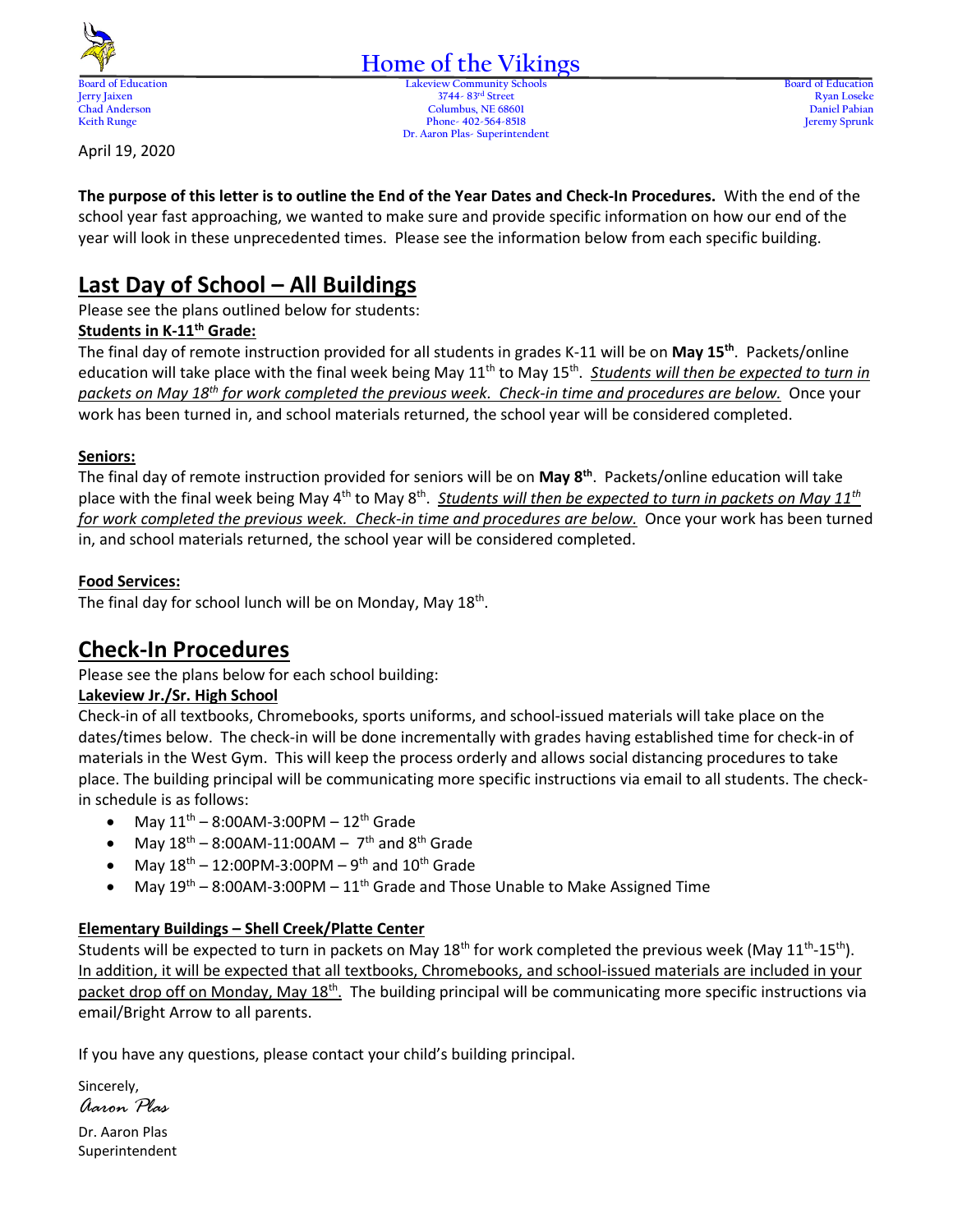

# **Home of the Vikings**

**Board of Education Lakeview Community Schools Board of Education Jerry Jaixen 3744- 83rd Street Ryan Loseke Chad Anderson Columbus, NE 68601 Daniel Pabian Keith Runge Phone- 402-564-8518 Jeremy Sprunk Dr. Aaron Plas- Superintendent**

April 19, 2020

**The purpose of this letter is to outline the End of the Year Dates and Check-In Procedures.** With the end of the school year fast approaching, we wanted to make sure and provide specific information on how our end of the year will look in these unprecedented times. Please see the information below from each specific building.

# **Last Day of School – All Buildings**

Please see the plans outlined below for students:

### **Students in K-11th Grade:**

The final day of remote instruction provided for all students in grades K-11 will be on **May 15th**. Packets/online education will take place with the final week being May 11<sup>th</sup> to May 15<sup>th</sup>. Students will then be expected to turn in *packets on May 18th for work completed the previous week. Check-in time and procedures are below.* Once your work has been turned in, and school materials returned, the school year will be considered completed.

### **Seniors:**

The final day of remote instruction provided for seniors will be on **May 8th**. Packets/online education will take place with the final week being May 4<sup>th</sup> to May 8<sup>th</sup>. Students will then be expected to turn in packets on May 11<sup>th</sup> *for work completed the previous week. Check-in time and procedures are below.* Once your work has been turned in, and school materials returned, the school year will be considered completed.

### **Food Services:**

The final day for school lunch will be on Monday, May 18<sup>th</sup>.

## **Check-In Procedures**

Please see the plans below for each school building:

### **Lakeview Jr./Sr. High School**

Check-in of all textbooks, Chromebooks, sports uniforms, and school-issued materials will take place on the dates/times below. The check-in will be done incrementally with grades having established time for check-in of materials in the West Gym. This will keep the process orderly and allows social distancing procedures to take place. The building principal will be communicating more specific instructions via email to all students. The checkin schedule is as follows:

- May  $11^{th}$  8:00AM-3:00PM  $12^{th}$  Grade
- May  $18^{th}$  8:00AM-11:00AM  $7^{th}$  and  $8^{th}$  Grade
- May  $18^{th}$  12:00PM-3:00PM 9<sup>th</sup> and  $10^{th}$  Grade
- May  $19<sup>th</sup> 8:00AM-3:00PM 11<sup>th</sup>$  Grade and Those Unable to Make Assigned Time

### **Elementary Buildings – Shell Creek/Platte Center**

Students will be expected to turn in packets on May 18<sup>th</sup> for work completed the previous week (May 11<sup>th</sup>-15<sup>th</sup>). In addition, it will be expected that all textbooks, Chromebooks, and school-issued materials are included in your packet drop off on Monday, May 18<sup>th</sup>. The building principal will be communicating more specific instructions via email/Bright Arrow to all parents.

If you have any questions, please contact your child's building principal.

Sincerely, *Aaron Plas*

Dr. Aaron Plas Superintendent